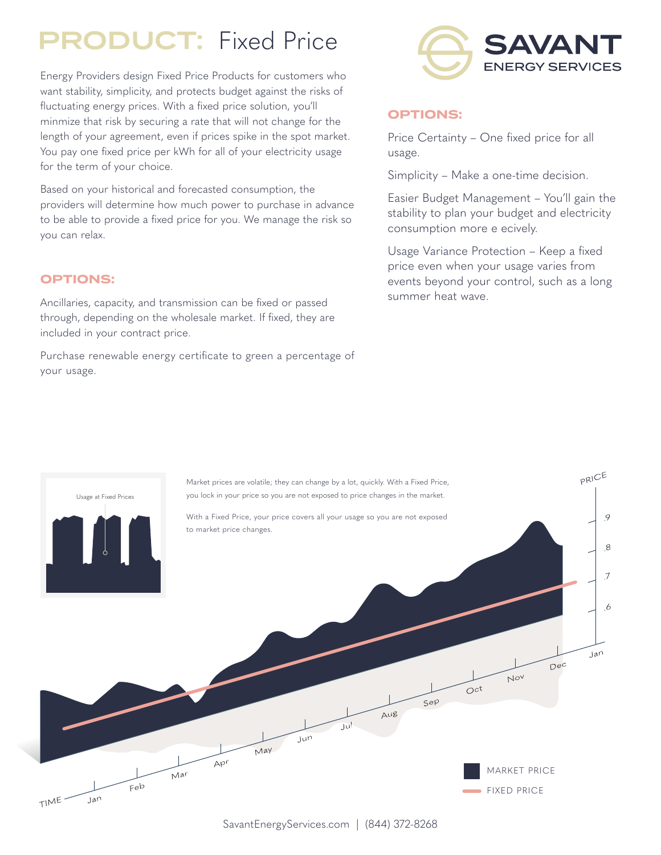## PRODUCT: Fixed Price

Energy Providers design Fixed Price Products for customers who want stability, simplicity, and protects budget against the risks of fluctuating energy prices. With a fixed price solution, you'll minmize that risk by securing a rate that will not change for the length of your agreement, even if prices spike in the spot market. You pay one fixed price per kWh for all of your electricity usage for the term of your choice.

Based on your historical and forecasted consumption, the providers will determine how much power to purchase in advance to be able to provide a fixed price for you. We manage the risk so you can relax.

#### **OPTIONS:**

Ancillaries, capacity, and transmission can be fixed or passed through, depending on the wholesale market. If fixed, they are included in your contract price.

Purchase renewable energy certificate to green a percentage of your usage.



### **OPTIONS:**

Price Certainty – One fixed price for all usage.

Simplicity – Make a one-time decision.

Easier Budget Management – You'll gain the stability to plan your budget and electricity consumption more e ecively.

Usage Variance Protection – Keep a fixed price even when your usage varies from events beyond your control, such as a long summer heat wave.

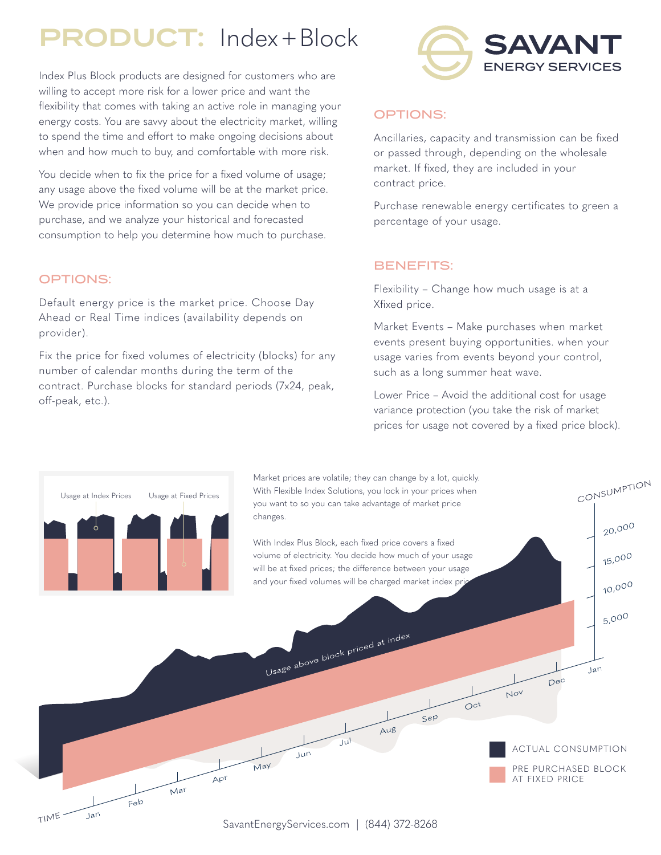# PRODUCT: Index+Block

Index Plus Block products are designed for customers who are willing to accept more risk for a lower price and want the flexibility that comes with taking an active role in managing your energy costs. You are savvy about the electricity market, willing to spend the time and effort to make ongoing decisions about when and how much to buy, and comfortable with more risk.

You decide when to fix the price for a fixed volume of usage; any usage above the fixed volume will be at the market price. We provide price information so you can decide when to purchase, and we analyze your historical and forecasted consumption to help you determine how much to purchase.

#### OPTIONS:

Default energy price is the market price. Choose Day Ahead or Real Time indices (availability depends on provider).

Fix the price for fixed volumes of electricity (blocks) for any number of calendar months during the term of the contract. Purchase blocks for standard periods (7x24, peak, off-peak, etc.).



### OPTIONS:

Ancillaries, capacity and transmission can be fixed or passed through, depending on the wholesale market. If fixed, they are included in your contract price.

Purchase renewable energy certificates to green a percentage of your usage.

### BENEFITS:

Flexibility – Change how much usage is at a Xfixed price.

Market Events – Make purchases when market events present buying opportunities. when your usage varies from events beyond your control, such as a long summer heat wave.

Lower Price – Avoid the additional cost for usage variance protection (you take the risk of market prices for usage not covered by a fixed price block).

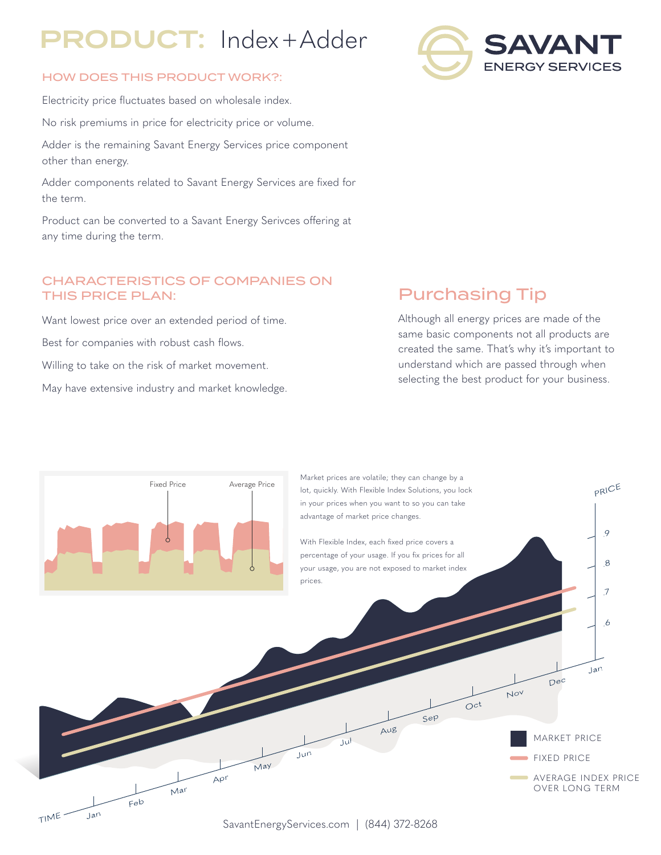# PRODUCT: Index+Adder

### HOW DOES THIS PRODUCT WORK?:

Electricity price fluctuates based on wholesale index. No risk premiums in price for electricity price or volume. Adder is the remaining Savant Energy Services price component other than energy.

Adder components related to Savant Energy Services are fixed for the term.

Product can be converted to a Savant Energy Serivces offering at any time during the term.

### CHARACTERISTICS OF COMPANIES ON THIS PRICE PLAN:

Want lowest price over an extended period of time.

Best for companies with robust cash flows.

Willing to take on the risk of market movement.

May have extensive industry and market knowledge.

### Purchasing Tip

Although all energy prices are made of the same basic components not all products are created the same. That's why it's important to understand which are passed through when selecting the best product for your business.



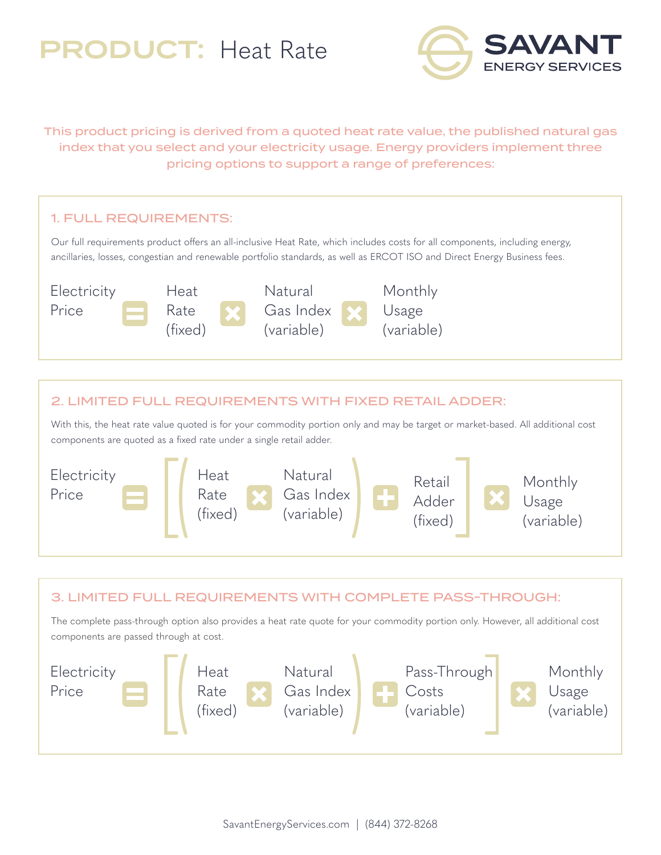# PRODUCT: Heat Rate



This product pricing is derived from a quoted heat rate value, the published natural gas index that you select and your electricity usage. Energy providers implement three pricing options to support a range of preferences:



### 2. LIMITED FULL REQUIREMENTS WITH FIXED RETAIL ADDER:

With this, the heat rate value quoted is for your commodity portion only and may be target or market-based. All additional cost components are quoted as a fixed rate under a single retail adder.



### 3. LIMITED FULL REQUIREMENTS WITH COMPLETE PASS-THROUGH:

The complete pass-through option also provides a heat rate quote for your commodity portion only. However, all additional cost components are passed through at cost.